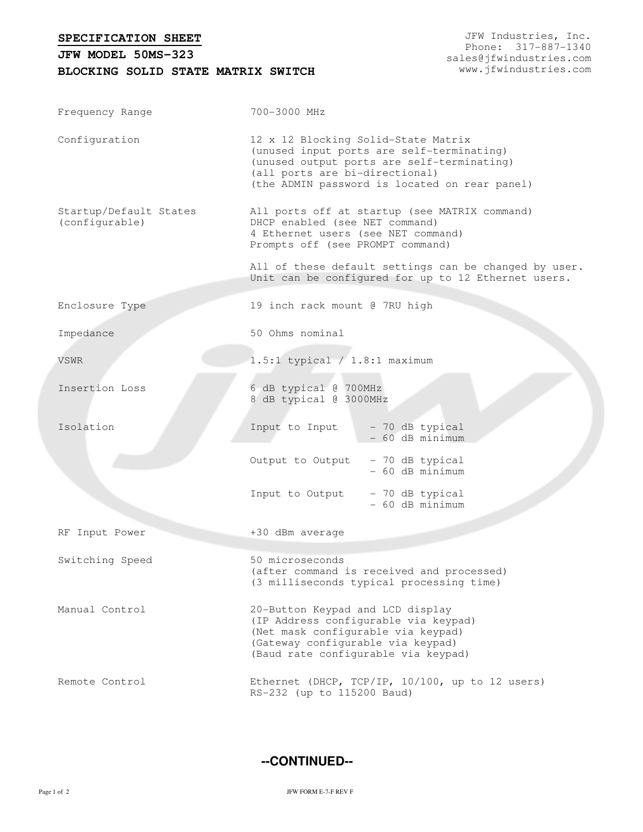**SPECIFICATION SHEET**

## **BLOCKING SOLID STATE MATRIX SWITCH JFW MODEL 50MS-323**

JFW Industries, Inc. Phone: 317-887-1340 sales@jfwindustries.com www.jfwindustries.com

| Frequency Range                          | 700-3000 MHz                                                                                                                                                                                                      |  |  |  |
|------------------------------------------|-------------------------------------------------------------------------------------------------------------------------------------------------------------------------------------------------------------------|--|--|--|
| Configuration                            | 12 x 12 Blocking Solid-State Matrix<br>(unused input ports are self-terminating)<br>(unused output ports are self-terminating)<br>(all ports are bi-directional)<br>(the ADMIN password is located on rear panel) |  |  |  |
| Startup/Default States<br>(configurable) | All ports off at startup (see MATRIX command)<br>DHCP enabled (see NET command)<br>4 Ethernet users (see NET command)<br>Prompts off (see PROMPT command)                                                         |  |  |  |
|                                          | All of these default settings can be changed by user.<br>Unit can be configured for up to 12 Ethernet users.                                                                                                      |  |  |  |
| Enclosure Type                           | 19 inch rack mount @ 7RU high                                                                                                                                                                                     |  |  |  |
| Impedance                                | 50 Ohms nominal                                                                                                                                                                                                   |  |  |  |
| VSWR                                     | $1.5:1$ typical / $1.8:1$ maximum                                                                                                                                                                                 |  |  |  |
| Insertion Loss                           | 6 dB typical @ 700MHz<br>8 dB typical @ 3000MHz                                                                                                                                                                   |  |  |  |
| Isolation                                | Input to Input<br>- 70 dB typical<br>- 60 dB minimum                                                                                                                                                              |  |  |  |
|                                          | Output to Output<br>- 70 dB typical<br>- 60 dB minimum                                                                                                                                                            |  |  |  |
|                                          | Input to Output<br>- 70 dB typical<br>- 60 dB minimum                                                                                                                                                             |  |  |  |
| RF Input Power                           | +30 dBm average                                                                                                                                                                                                   |  |  |  |
| Switching Speed                          | 50 microseconds<br>(after command is received and processed)<br>(3 milliseconds typical processing time)                                                                                                          |  |  |  |
| Manual Control                           | 20-Button Keypad and LCD display<br>(IP Address configurable via keypad)<br>(Net mask configurable via keypad)<br>(Gateway configurable via keypad)<br>(Baud rate configurable via keypad)                        |  |  |  |
| Remote Control                           | Ethernet (DHCP, TCP/IP, 10/100, up to 12 users)<br>RS-232 (up to 115200 Baud)                                                                                                                                     |  |  |  |

**--CONTINUED--**